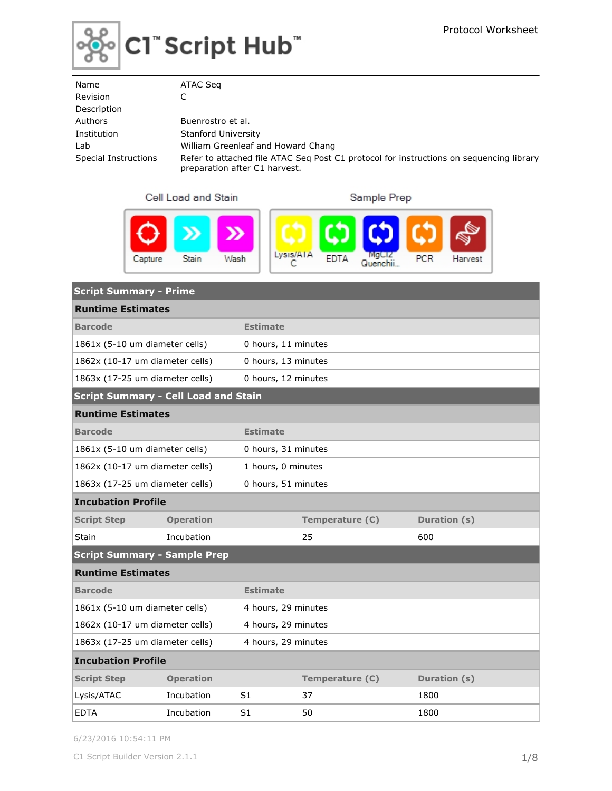

| Name                 | ATAC Seg                                                                                                                 |
|----------------------|--------------------------------------------------------------------------------------------------------------------------|
| Revision             |                                                                                                                          |
| Description          |                                                                                                                          |
| Authors              | Buenrostro et al.                                                                                                        |
| Institution          | <b>Stanford University</b>                                                                                               |
| Lab                  | William Greenleaf and Howard Chang                                                                                       |
| Special Instructions | Refer to attached file ATAC Seg Post C1 protocol for instructions on sequencing library<br>preparation after C1 harvest. |

### Cell Load and Stain

Sample Prep



| <b>Script Summary - Prime</b>               |                  |                     |                     |              |  |  |  |
|---------------------------------------------|------------------|---------------------|---------------------|--------------|--|--|--|
| <b>Runtime Estimates</b>                    |                  |                     |                     |              |  |  |  |
| <b>Barcode</b>                              | <b>Estimate</b>  |                     |                     |              |  |  |  |
| 1861x (5-10 um diameter cells)              |                  | 0 hours, 11 minutes |                     |              |  |  |  |
| 1862x (10-17 um diameter cells)             |                  | 0 hours, 13 minutes |                     |              |  |  |  |
| 1863x (17-25 um diameter cells)             |                  | 0 hours, 12 minutes |                     |              |  |  |  |
| <b>Script Summary - Cell Load and Stain</b> |                  |                     |                     |              |  |  |  |
| <b>Runtime Estimates</b>                    |                  |                     |                     |              |  |  |  |
| <b>Barcode</b>                              |                  | <b>Estimate</b>     |                     |              |  |  |  |
| 1861x (5-10 um diameter cells)              |                  | 0 hours, 31 minutes |                     |              |  |  |  |
| 1862x (10-17 um diameter cells)             |                  | 1 hours, 0 minutes  |                     |              |  |  |  |
| 1863x (17-25 um diameter cells)             |                  |                     | 0 hours, 51 minutes |              |  |  |  |
| <b>Incubation Profile</b>                   |                  |                     |                     |              |  |  |  |
| <b>Script Step</b>                          | <b>Operation</b> |                     | Temperature (C)     | Duration (s) |  |  |  |
| Stain                                       | Incubation       |                     | 25                  | 600          |  |  |  |
| <b>Script Summary - Sample Prep</b>         |                  |                     |                     |              |  |  |  |
| <b>Runtime Estimates</b>                    |                  |                     |                     |              |  |  |  |
| <b>Barcode</b>                              |                  | <b>Estimate</b>     |                     |              |  |  |  |
| 1861x (5-10 um diameter cells)              |                  | 4 hours, 29 minutes |                     |              |  |  |  |
| 1862x (10-17 um diameter cells)             |                  |                     | 4 hours, 29 minutes |              |  |  |  |
| 1863x (17-25 um diameter cells)             |                  | 4 hours, 29 minutes |                     |              |  |  |  |
| <b>Incubation Profile</b>                   |                  |                     |                     |              |  |  |  |
| <b>Script Step</b>                          | <b>Operation</b> |                     | Temperature (C)     | Duration (s) |  |  |  |
| Lysis/ATAC                                  | Incubation       | S1                  | 37                  | 1800         |  |  |  |
| <b>EDTA</b>                                 | Incubation       | S1                  | 50                  | 1800         |  |  |  |

6/23/2016 10:54:11 PM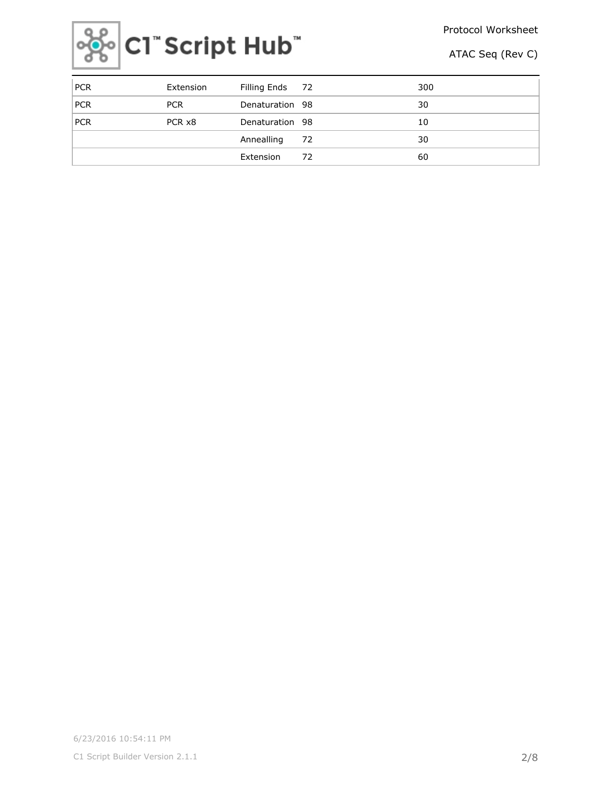Protocol Worksheet



ATAC Seq (Rev C)

| PCR        | Extension  | Filling Ends 72 |    | 300 |
|------------|------------|-----------------|----|-----|
| <b>PCR</b> | <b>PCR</b> | Denaturation 98 |    | 30  |
| <b>PCR</b> | PCR x8     | Denaturation 98 |    | 10  |
|            |            | Annealling      | 72 | 30  |
|            |            | Extension       | 72 | 60  |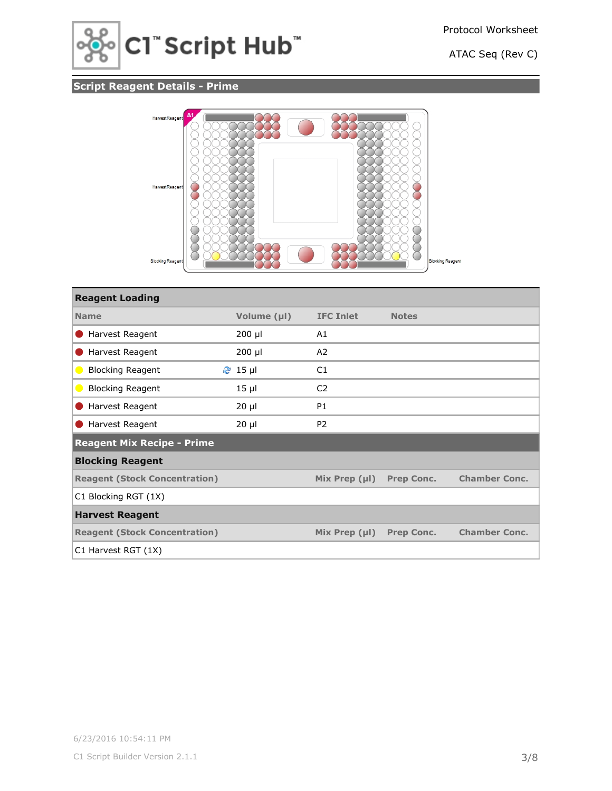

# **Script Reagent Details - Prime**



| <b>Reagent Loading</b>               |                         |                    |                   |                      |
|--------------------------------------|-------------------------|--------------------|-------------------|----------------------|
| <b>Name</b>                          | Volume (µl)             | <b>IFC Inlet</b>   | <b>Notes</b>      |                      |
| Harvest Reagent                      | $200$ µl                | A1                 |                   |                      |
| Harvest Reagent                      | $200$ µl                | A2                 |                   |                      |
| <b>Blocking Reagent</b>              | $2 \cdot 15 \text{ pl}$ | C1                 |                   |                      |
| <b>Blocking Reagent</b>              | $15 \mu$                | C <sub>2</sub>     |                   |                      |
| Harvest Reagent                      | $20 \mu$                | <b>P1</b>          |                   |                      |
| Harvest Reagent                      | $20 \mu$                | P <sub>2</sub>     |                   |                      |
| <b>Reagent Mix Recipe - Prime</b>    |                         |                    |                   |                      |
| <b>Blocking Reagent</b>              |                         |                    |                   |                      |
| <b>Reagent (Stock Concentration)</b> |                         | Mix Prep $(\mu I)$ | <b>Prep Conc.</b> | <b>Chamber Conc.</b> |
| C1 Blocking RGT (1X)                 |                         |                    |                   |                      |
| <b>Harvest Reagent</b>               |                         |                    |                   |                      |
| <b>Reagent (Stock Concentration)</b> |                         | Mix Prep $(\mu I)$ | <b>Prep Conc.</b> | <b>Chamber Conc.</b> |
| C1 Harvest RGT (1X)                  |                         |                    |                   |                      |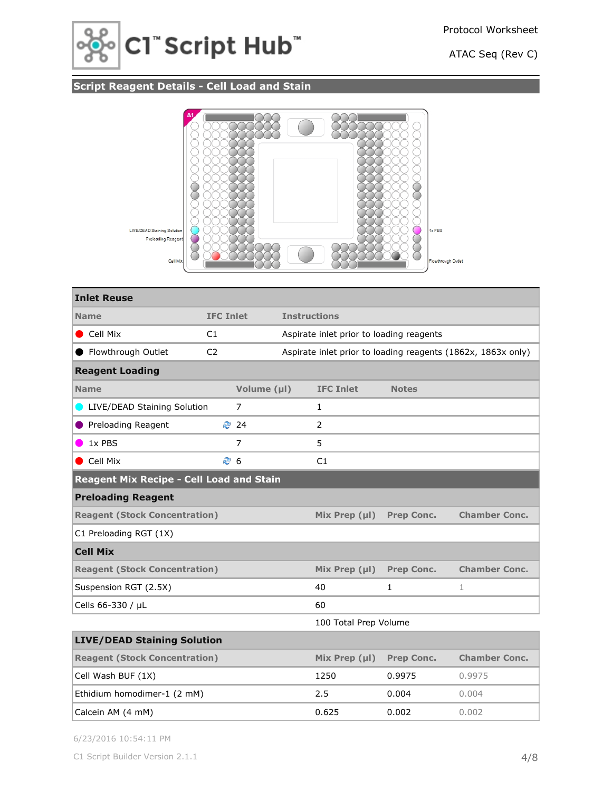

# **Script Reagent Details - Cell Load and Stain**



| <b>Inlet Reuse</b>                              |                  |                |       |                                          |                   |                                                              |  |
|-------------------------------------------------|------------------|----------------|-------|------------------------------------------|-------------------|--------------------------------------------------------------|--|
| <b>Name</b>                                     | <b>IFC Inlet</b> |                |       | <b>Instructions</b>                      |                   |                                                              |  |
| Cell Mix                                        | C1               |                |       | Aspirate inlet prior to loading reagents |                   |                                                              |  |
| Flowthrough Outlet                              | C <sub>2</sub>   |                |       |                                          |                   | Aspirate inlet prior to loading reagents (1862x, 1863x only) |  |
| <b>Reagent Loading</b>                          |                  |                |       |                                          |                   |                                                              |  |
| <b>Name</b>                                     |                  | Volume (µl)    |       | <b>IFC Inlet</b>                         | <b>Notes</b>      |                                                              |  |
| LIVE/DEAD Staining Solution                     |                  | 7              |       | $\mathbf{1}$                             |                   |                                                              |  |
| Preloading Reagent                              |                  | ₹ 24           |       | $\overline{2}$                           |                   |                                                              |  |
| 1x PBS                                          |                  | $\overline{7}$ |       | 5                                        |                   |                                                              |  |
| Cell Mix                                        | € 6              |                |       | C1                                       |                   |                                                              |  |
| <b>Reagent Mix Recipe - Cell Load and Stain</b> |                  |                |       |                                          |                   |                                                              |  |
| <b>Preloading Reagent</b>                       |                  |                |       |                                          |                   |                                                              |  |
| <b>Reagent (Stock Concentration)</b>            |                  |                |       | Mix Prep (µl)                            | <b>Prep Conc.</b> | <b>Chamber Conc.</b>                                         |  |
| C1 Preloading RGT (1X)                          |                  |                |       |                                          |                   |                                                              |  |
| <b>Cell Mix</b>                                 |                  |                |       |                                          |                   |                                                              |  |
| <b>Reagent (Stock Concentration)</b>            |                  |                |       | Mix Prep $(\mu I)$                       | Prep Conc.        | <b>Chamber Conc.</b>                                         |  |
| Suspension RGT (2.5X)                           |                  |                |       | 40                                       | $\mathbf{1}$      | $\mathbf 1$                                                  |  |
| Cells 66-330 / µL                               |                  |                |       | 60                                       |                   |                                                              |  |
|                                                 |                  |                |       | 100 Total Prep Volume                    |                   |                                                              |  |
| <b>LIVE/DEAD Staining Solution</b>              |                  |                |       |                                          |                   |                                                              |  |
| <b>Reagent (Stock Concentration)</b>            |                  |                |       | Mix Prep $(\mu I)$                       | <b>Prep Conc.</b> | <b>Chamber Conc.</b>                                         |  |
| Cell Wash BUF (1X)                              |                  |                |       | 1250                                     | 0.9975            | 0.9975                                                       |  |
| Ethidium homodimer-1 (2 mM)                     |                  |                |       | 2.5                                      | 0.004             | 0.004                                                        |  |
| Calcein AM (4 mM)                               |                  |                | 0.625 | 0.002                                    | 0.002             |                                                              |  |

6/23/2016 10:54:11 PM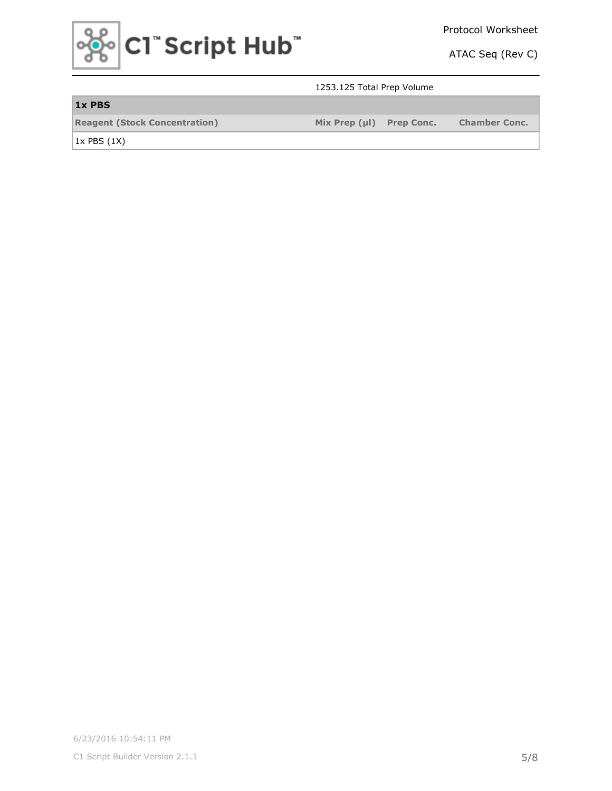

### 1253.125 Total Prep Volume

| 1x PBS                               |                          |                      |
|--------------------------------------|--------------------------|----------------------|
| <b>Reagent (Stock Concentration)</b> | Mix Prep (µI) Prep Conc. | <b>Chamber Conc.</b> |

 $1x$  PBS  $(1X)$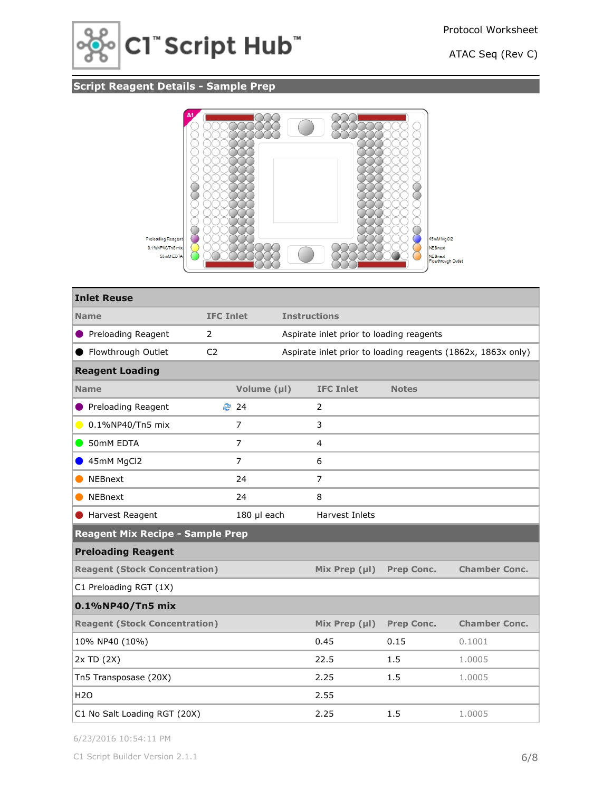

# **Script Reagent Details - Sample Prep**



| <b>Inlet Reuse</b>                        |                  |  |                                          |                   |                                                              |  |
|-------------------------------------------|------------------|--|------------------------------------------|-------------------|--------------------------------------------------------------|--|
| <b>Name</b>                               | <b>IFC Inlet</b> |  | <b>Instructions</b>                      |                   |                                                              |  |
| <b>O</b> Preloading Reagent               | $\overline{2}$   |  | Aspirate inlet prior to loading reagents |                   |                                                              |  |
| ● Flowthrough Outlet                      | C <sub>2</sub>   |  |                                          |                   | Aspirate inlet prior to loading reagents (1862x, 1863x only) |  |
| <b>Reagent Loading</b>                    |                  |  |                                          |                   |                                                              |  |
| <b>Name</b>                               | Volume (µl)      |  | <b>IFC Inlet</b>                         | <b>Notes</b>      |                                                              |  |
| Preloading Reagent                        | ₹ 24             |  | 2                                        |                   |                                                              |  |
| 0.1%NP40/Tn5 mix<br>$\bullet$             | 7                |  | 3                                        |                   |                                                              |  |
| 50mM EDTA<br>$\qquad \qquad \blacksquare$ | $\overline{7}$   |  | 4                                        |                   |                                                              |  |
| 45mM MgCl2                                | 7                |  | 6                                        |                   |                                                              |  |
| <b>NEBnext</b>                            | 24               |  | $\overline{7}$                           |                   |                                                              |  |
| <b>NEBnext</b>                            | 24               |  | 8                                        |                   |                                                              |  |
| Harvest Reagent                           | 180 µl each      |  | Harvest Inlets                           |                   |                                                              |  |
| <b>Reagent Mix Recipe - Sample Prep</b>   |                  |  |                                          |                   |                                                              |  |
| <b>Preloading Reagent</b>                 |                  |  |                                          |                   |                                                              |  |
| <b>Reagent (Stock Concentration)</b>      |                  |  | Mix Prep $(\mu I)$                       | <b>Prep Conc.</b> | <b>Chamber Conc.</b>                                         |  |
| C1 Preloading RGT (1X)                    |                  |  |                                          |                   |                                                              |  |
| 0.1%NP40/Tn5 mix                          |                  |  |                                          |                   |                                                              |  |
| <b>Reagent (Stock Concentration)</b>      |                  |  | Mix Prep $(\mu I)$                       | <b>Prep Conc.</b> | <b>Chamber Conc.</b>                                         |  |
| 10% NP40 (10%)                            |                  |  | 0.45                                     | 0.15              | 0.1001                                                       |  |
| 2x TD (2X)                                |                  |  | 22.5                                     | 1.5               | 1.0005                                                       |  |
| Tn5 Transposase (20X)                     |                  |  | 2.25                                     | 1.5               | 1.0005                                                       |  |
| <b>H2O</b>                                |                  |  | 2.55                                     |                   |                                                              |  |
| C1 No Salt Loading RGT (20X)              |                  |  | 2.25                                     | 1.5               | 1.0005                                                       |  |

6/23/2016 10:54:11 PM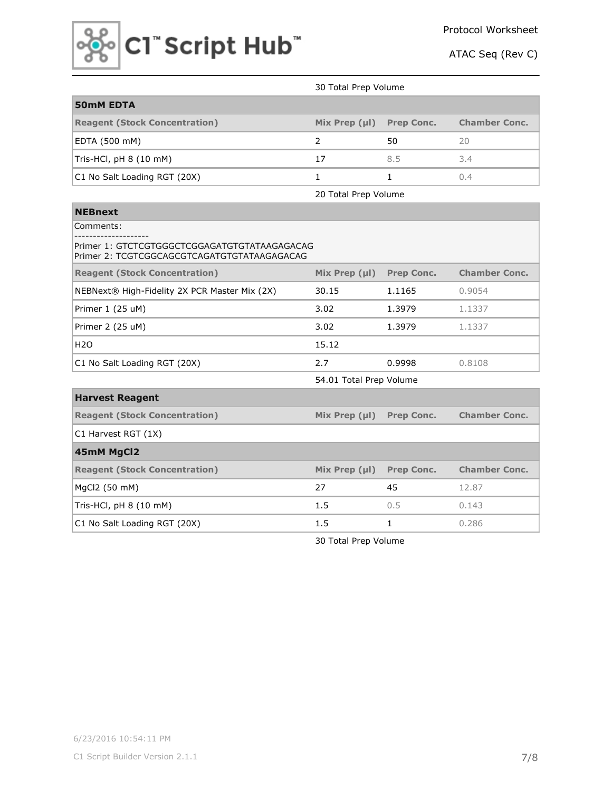

|                                      | 30 Total Prep Volume |                   |                      |  |  |
|--------------------------------------|----------------------|-------------------|----------------------|--|--|
| <b>50mM EDTA</b>                     |                      |                   |                      |  |  |
| <b>Reagent (Stock Concentration)</b> | Mix Prep $(\mu I)$   | <b>Prep Conc.</b> | <b>Chamber Conc.</b> |  |  |
| EDTA (500 mM)                        |                      | 50                | 20                   |  |  |
| Tris-HCl, pH 8 (10 mM)               | 17                   | 8.5               | 3.4                  |  |  |
| C1 No Salt Loading RGT (20X)         |                      |                   | (1.4                 |  |  |

20 Total Prep Volume

| <b>NEBnext</b>                                                                              |                    |                   |                      |  |  |
|---------------------------------------------------------------------------------------------|--------------------|-------------------|----------------------|--|--|
| Comments:                                                                                   |                    |                   |                      |  |  |
| Primer 1: GTCTCGTGGGCTCGGAGATGTGTATAAGAGACAG<br>Primer 2: TCGTCGGCAGCGTCAGATGTGTATAAGAGACAG |                    |                   |                      |  |  |
| <b>Reagent (Stock Concentration)</b>                                                        | Mix Prep $(\mu I)$ | <b>Prep Conc.</b> | <b>Chamber Conc.</b> |  |  |
| NEBNext® High-Fidelity 2X PCR Master Mix (2X)                                               | 30.15              | 1.1165            | 0.9054               |  |  |
| Primer 1 (25 uM)                                                                            | 3.02               | 1.3979            | 1.1337               |  |  |
| Primer 2 (25 uM)                                                                            | 3.02               | 1.3979            | 1.1337               |  |  |
| <b>H2O</b>                                                                                  | 15.12              |                   |                      |  |  |
| C1 No Salt Loading RGT (20X)                                                                | 2.7                | 0.9998            | 0.8108               |  |  |
| 54.01 Total Prep Volume                                                                     |                    |                   |                      |  |  |
| <b>Harvest Reagent</b>                                                                      |                    |                   |                      |  |  |
| <b>Reagent (Stock Concentration)</b>                                                        | Mix Prep $(\mu I)$ | <b>Prep Conc.</b> | <b>Chamber Conc.</b> |  |  |
| C1 Harvest RGT (1X)                                                                         |                    |                   |                      |  |  |
| 45mM MgCl2                                                                                  |                    |                   |                      |  |  |
| <b>Reagent (Stock Concentration)</b>                                                        | Mix Prep $(\mu I)$ | <b>Prep Conc.</b> | <b>Chamber Conc.</b> |  |  |
| MgCl2 (50 mM)                                                                               | 27                 | 45                | 12.87                |  |  |
| Tris-HCl, $pH 8 (10$ mM)                                                                    | 1.5                | 0.5               | 0.143                |  |  |
| C1 No Salt Loading RGT (20X)                                                                | 1.5                | 1                 | 0.286                |  |  |

30 Total Prep Volume